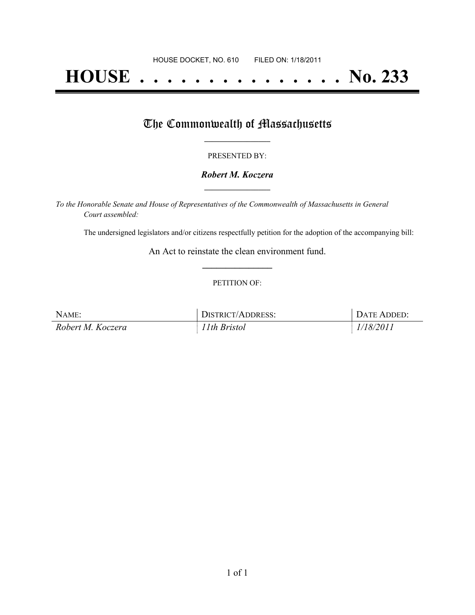# **HOUSE . . . . . . . . . . . . . . . No. 233**

## The Commonwealth of Massachusetts

#### PRESENTED BY:

#### *Robert M. Koczera* **\_\_\_\_\_\_\_\_\_\_\_\_\_\_\_\_\_**

*To the Honorable Senate and House of Representatives of the Commonwealth of Massachusetts in General Court assembled:*

The undersigned legislators and/or citizens respectfully petition for the adoption of the accompanying bill:

An Act to reinstate the clean environment fund. **\_\_\_\_\_\_\_\_\_\_\_\_\_\_\_**

#### PETITION OF:

| NAME:             | DISTRICT/ADDRESS: | . Date Added: |
|-------------------|-------------------|---------------|
| Robert M. Koczera | 11th Bristol      | 1/18/2011     |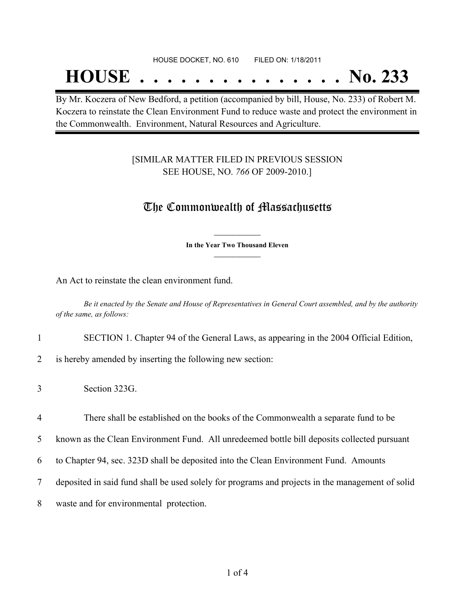#### HOUSE DOCKET, NO. 610 FILED ON: 1/18/2011

## **HOUSE . . . . . . . . . . . . . . . No. 233**

By Mr. Koczera of New Bedford, a petition (accompanied by bill, House, No. 233) of Robert M. Koczera to reinstate the Clean Environment Fund to reduce waste and protect the environment in the Commonwealth. Environment, Natural Resources and Agriculture.

#### [SIMILAR MATTER FILED IN PREVIOUS SESSION SEE HOUSE, NO. *766* OF 2009-2010.]

### The Commonwealth of Massachusetts

**\_\_\_\_\_\_\_\_\_\_\_\_\_\_\_ In the Year Two Thousand Eleven \_\_\_\_\_\_\_\_\_\_\_\_\_\_\_**

An Act to reinstate the clean environment fund.

Be it enacted by the Senate and House of Representatives in General Court assembled, and by the authority *of the same, as follows:*

1 SECTION 1. Chapter 94 of the General Laws, as appearing in the 2004 Official Edition,

2 is hereby amended by inserting the following new section:

 There shall be established on the books of the Commonwealth a separate fund to be known as the Clean Environment Fund. All unredeemed bottle bill deposits collected pursuant to Chapter 94, sec. 323D shall be deposited into the Clean Environment Fund. Amounts deposited in said fund shall be used solely for programs and projects in the management of solid waste and for environmental protection.

<sup>3</sup> Section 323G.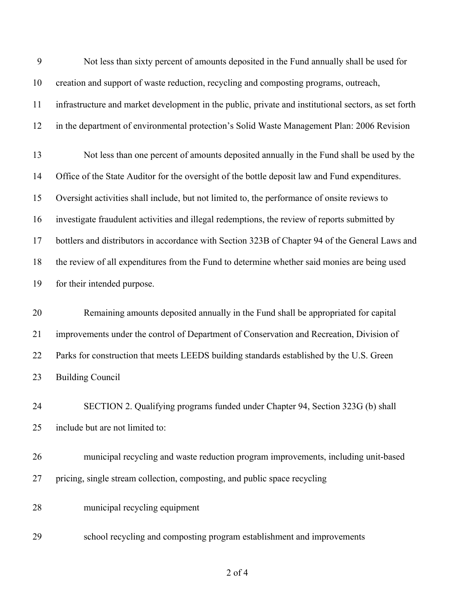| 9  | Not less than sixty percent of amounts deposited in the Fund annually shall be used for              |
|----|------------------------------------------------------------------------------------------------------|
| 10 | creation and support of waste reduction, recycling and composting programs, outreach,                |
| 11 | infrastructure and market development in the public, private and institutional sectors, as set forth |
| 12 | in the department of environmental protection's Solid Waste Management Plan: 2006 Revision           |
| 13 | Not less than one percent of amounts deposited annually in the Fund shall be used by the             |
| 14 | Office of the State Auditor for the oversight of the bottle deposit law and Fund expenditures.       |
| 15 | Oversight activities shall include, but not limited to, the performance of onsite reviews to         |
| 16 | investigate fraudulent activities and illegal redemptions, the review of reports submitted by        |
| 17 | bottlers and distributors in accordance with Section 323B of Chapter 94 of the General Laws and      |
| 18 | the review of all expenditures from the Fund to determine whether said monies are being used         |
| 19 | for their intended purpose.                                                                          |
| 20 | Remaining amounts deposited annually in the Fund shall be appropriated for capital                   |
| 21 | improvements under the control of Department of Conservation and Recreation, Division of             |
| 22 | Parks for construction that meets LEEDS building standards established by the U.S. Green             |
| 23 | <b>Building Council</b>                                                                              |
| 24 | SECTION 2. Qualifying programs funded under Chapter 94, Section 323G (b) shall                       |
| 25 | include but are not limited to:                                                                      |
| 26 | municipal recycling and waste reduction program improvements, including unit-based                   |
| 27 | pricing, single stream collection, composting, and public space recycling                            |
| 28 | municipal recycling equipment                                                                        |
|    |                                                                                                      |

of 4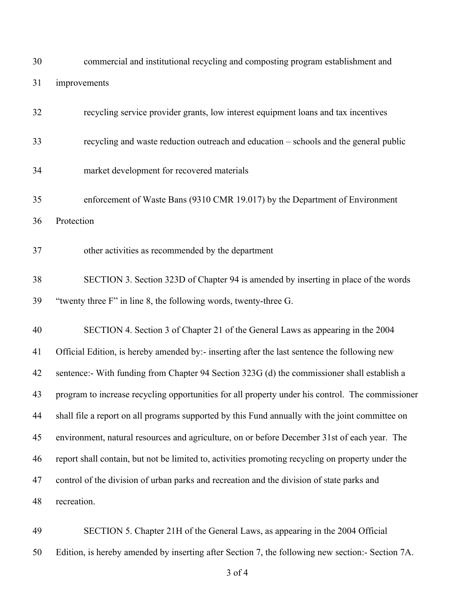| 30 | commercial and institutional recycling and composting program establishment and                   |
|----|---------------------------------------------------------------------------------------------------|
| 31 | improvements                                                                                      |
| 32 | recycling service provider grants, low interest equipment loans and tax incentives                |
| 33 | recycling and waste reduction outreach and education - schools and the general public             |
| 34 | market development for recovered materials                                                        |
| 35 | enforcement of Waste Bans (9310 CMR 19.017) by the Department of Environment                      |
| 36 | Protection                                                                                        |
| 37 | other activities as recommended by the department                                                 |
| 38 | SECTION 3. Section 323D of Chapter 94 is amended by inserting in place of the words               |
| 39 | "twenty three F" in line 8, the following words, twenty-three G.                                  |
| 40 | SECTION 4. Section 3 of Chapter 21 of the General Laws as appearing in the 2004                   |
| 41 | Official Edition, is hereby amended by:- inserting after the last sentence the following new      |
| 42 | sentence:- With funding from Chapter 94 Section 323G (d) the commissioner shall establish a       |
| 43 | program to increase recycling opportunities for all property under his control. The commissioner  |
| 44 | shall file a report on all programs supported by this Fund annually with the joint committee on   |
| 45 | environment, natural resources and agriculture, on or before December 31st of each year. The      |
| 46 | report shall contain, but not be limited to, activities promoting recycling on property under the |
| 47 | control of the division of urban parks and recreation and the division of state parks and         |
| 48 | recreation.                                                                                       |
|    |                                                                                                   |

 SECTION 5. Chapter 21H of the General Laws, as appearing in the 2004 Official Edition, is hereby amended by inserting after Section 7, the following new section:- Section 7A.

of 4